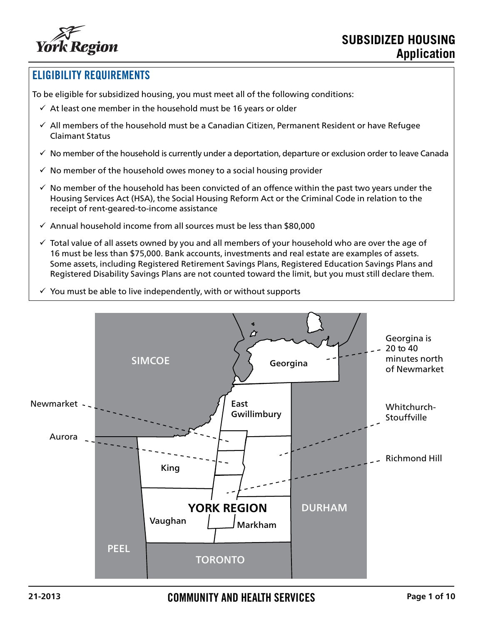

### ELIGIBILITY REQUIREMENTS

To be eligible for subsidized housing, you must meet all of the following conditions:

- $\checkmark$  At least one member in the household must be 16 years or older
- $\checkmark$  All members of the household must be a Canadian Citizen, Permanent Resident or have Refugee Claimant Status
- $\checkmark$  No member of the household is currently under a deportation, departure or exclusion order to leave Canada
- $\checkmark$  No member of the household owes money to a social housing provider
- $\checkmark$  No member of the household has been convicted of an offence within the past two years under the Housing Services Act (HSA), the Social Housing Reform Act or the Criminal Code in relation to the receipt of rent-geared-to-income assistance
- $\checkmark$  Annual household income from all sources must be less than \$80,000
- $\checkmark$  Total value of all assets owned by you and all members of your household who are over the age of 16 must be less than \$75,000. Bank accounts, investments and real estate are examples of assets. Some assets, including Registered Retirement Savings Plans, Registered Education Savings Plans and Registered Disability Savings Plans are not counted toward the limit, but you must still declare them.
- $\checkmark$  You must be able to live independently, with or without supports

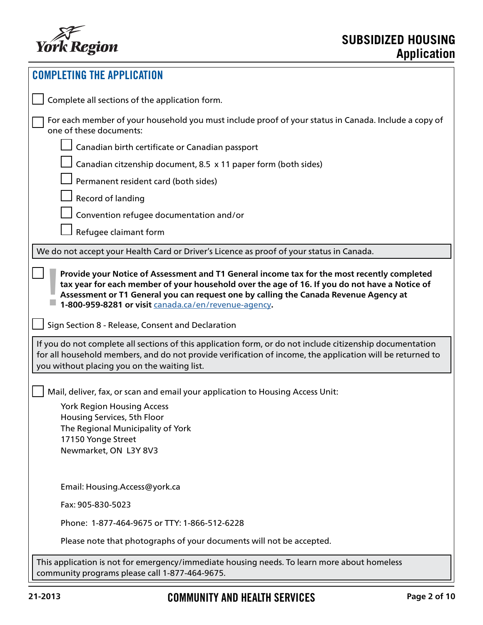

| <b>COMPLETING THE APPLICATION</b>                                                                                                                                                                                                                                                                  |  |  |
|----------------------------------------------------------------------------------------------------------------------------------------------------------------------------------------------------------------------------------------------------------------------------------------------------|--|--|
| Complete all sections of the application form.                                                                                                                                                                                                                                                     |  |  |
| For each member of your household you must include proof of your status in Canada. Include a copy of<br>one of these documents:                                                                                                                                                                    |  |  |
| Canadian birth certificate or Canadian passport                                                                                                                                                                                                                                                    |  |  |
| Canadian citzenship document, 8.5 x 11 paper form (both sides)                                                                                                                                                                                                                                     |  |  |
| Permanent resident card (both sides)                                                                                                                                                                                                                                                               |  |  |
| Record of landing                                                                                                                                                                                                                                                                                  |  |  |
| Convention refugee documentation and/or                                                                                                                                                                                                                                                            |  |  |
| Refugee claimant form                                                                                                                                                                                                                                                                              |  |  |
| We do not accept your Health Card or Driver's Licence as proof of your status in Canada.                                                                                                                                                                                                           |  |  |
| tax year for each member of your household over the age of 16. If you do not have a Notice of<br>Assessment or T1 General you can request one by calling the Canada Revenue Agency at<br>1-800-959-8281 or visit canada.ca/en/revenue-agency.<br>Sign Section 8 - Release, Consent and Declaration |  |  |
| If you do not complete all sections of this application form, or do not include citizenship documentation<br>for all household members, and do not provide verification of income, the application will be returned to<br>you without placing you on the waiting list.                             |  |  |
| Mail, deliver, fax, or scan and email your application to Housing Access Unit:                                                                                                                                                                                                                     |  |  |
| <b>York Region Housing Access</b>                                                                                                                                                                                                                                                                  |  |  |
| Housing Services, 5th Floor<br>The Regional Municipality of York                                                                                                                                                                                                                                   |  |  |
| 17150 Yonge Street                                                                                                                                                                                                                                                                                 |  |  |
| Newmarket, ON L3Y 8V3                                                                                                                                                                                                                                                                              |  |  |
| Email: Housing.Access@york.ca                                                                                                                                                                                                                                                                      |  |  |
| Fax: 905-830-5023                                                                                                                                                                                                                                                                                  |  |  |
| Phone: 1-877-464-9675 or TTY: 1-866-512-6228                                                                                                                                                                                                                                                       |  |  |
| Please note that photographs of your documents will not be accepted.                                                                                                                                                                                                                               |  |  |
| This application is not for emergency/immediate housing needs. To learn more about homeless<br>community programs please call 1-877-464-9675.                                                                                                                                                      |  |  |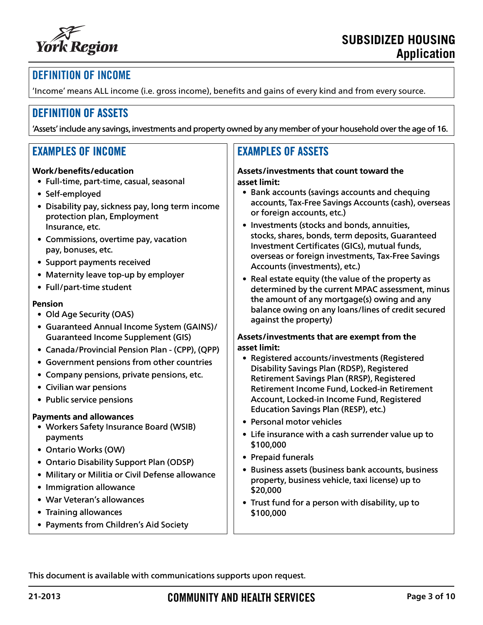

## DEFINITION OF INCOME

'Income' means ALL income (i.e. gross income), benefits and gains of every kind and from every source.

### DEFINITION OF ASSETS

'Assets' include any savings, investments and property owned by any member of your household over the age of 16.

### EXAMPLES OF INCOME

#### **Work/benefits/education**

- Full-time, part-time, casual, seasonal
- Self-employed
- Disability pay, sickness pay, long term income protection plan, Employment Insurance, etc.
- Commissions, overtime pay, vacation pay, bonuses, etc.
- Support payments received
- Maternity leave top-up by employer
- Full/part-time student

#### **Pension**

- Old Age Security (OAS)
- Guaranteed Annual Income System (GAINS)/ Guaranteed Income Supplement (GIS)
- Canada/Provincial Pension Plan (CPP), (QPP)
- Government pensions from other countries
- Company pensions, private pensions, etc.
- Civilian war pensions
- Public service pensions

#### **Payments and allowances**

- Workers Safety Insurance Board (WSIB) payments
- Ontario Works (OW)
- Ontario Disability Support Plan (ODSP)
- Military or Militia or Civil Defense allowance
- Immigration allowance
- War Veteran's allowances
- Training allowances
- Payments from Children's Aid Society

## EXAMPLES OF ASSETS

#### **Assets/investments that count toward the asset limit:**

- Bank accounts (savings accounts and chequing accounts, Tax-Free Savings Accounts (cash), overseas or foreign accounts, etc.)
- Investments (stocks and bonds, annuities, stocks, shares, bonds, term deposits, Guaranteed Investment Certificates (GICs), mutual funds, overseas or foreign investments, Tax-Free Savings Accounts (investments), etc.)
- Real estate equity (the value of the property as determined by the current MPAC assessment, minus the amount of any mortgage(s) owing and any balance owing on any loans/lines of credit secured against the property)

#### **Assets/investments that are exempt from the asset limit:**

- Registered accounts/investments (Registered Disability Savings Plan (RDSP), Registered Retirement Savings Plan (RRSP), Registered Retirement Income Fund, Locked-in Retirement Account, Locked-in Income Fund, Registered Education Savings Plan (RESP), etc.)
- Personal motor vehicles
- Life insurance with a cash surrender value up to \$100,000
- Prepaid funerals
- Business assets (business bank accounts, business property, business vehicle, taxi license) up to \$20,000
- Trust fund for a person with disability, up to \$100,000

This document is available with communications supports upon request.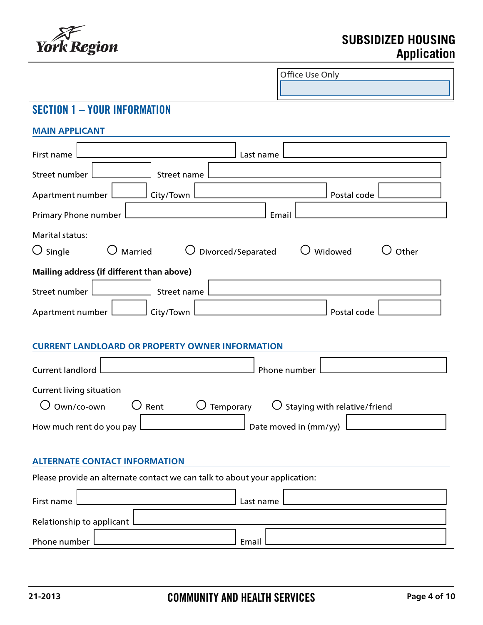

# **SUBSIDIZED HOUSING Application**

| Office Use Only                                                            |  |  |
|----------------------------------------------------------------------------|--|--|
|                                                                            |  |  |
| <b>SECTION 1 - YOUR INFORMATION</b>                                        |  |  |
| <b>MAIN APPLICANT</b>                                                      |  |  |
| First name<br>Last name                                                    |  |  |
| Street number<br>Street name                                               |  |  |
| Postal code<br>Apartment number<br>City/Town                               |  |  |
| Primary Phone number<br>Email                                              |  |  |
| Marital status:                                                            |  |  |
| $\bigcirc$ Single<br>Married<br>Divorced/Separated<br>Widowed<br>Other     |  |  |
| Mailing address (if different than above)                                  |  |  |
| Street number<br>Street name                                               |  |  |
| Postal code<br>Apartment number  <br>City/Town                             |  |  |
| <b>CURRENT LANDLOARD OR PROPERTY OWNER INFORMATION</b>                     |  |  |
| <b>Current landlord</b><br>Phone number                                    |  |  |
| <b>Current living situation</b>                                            |  |  |
| Own/co-own<br>Staying with relative/friend<br>Rent<br>Temporary            |  |  |
| How much rent do you pay<br>Date moved in (mm/yy)                          |  |  |
| <b>ALTERNATE CONTACT INFORMATION</b>                                       |  |  |
| Please provide an alternate contact we can talk to about your application: |  |  |
| First name<br>Last name                                                    |  |  |
| Relationship to applicant                                                  |  |  |
| Phone number<br>Email                                                      |  |  |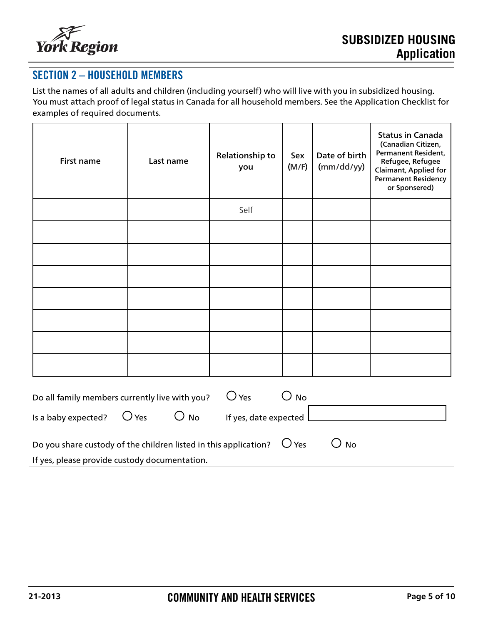

# SECTION 2 – HOUSEHOLD MEMBERS

List the names of all adults and children (including yourself) who will live with you in subsidized housing. You must attach proof of legal status in Canada for all household members. See the Application Checklist for examples of required documents.

| <b>First name</b>                                                                                                                                   | Last name | Relationship to<br>you | Sex<br>(M/F) | Date of birth<br>(mm/dd/yy) | <b>Status in Canada</b><br>(Canadian Citizen,<br>Permanent Resident,<br>Refugee, Refugee<br>Claimant, Applied for<br><b>Permanent Residency</b><br>or Sponsered) |
|-----------------------------------------------------------------------------------------------------------------------------------------------------|-----------|------------------------|--------------|-----------------------------|------------------------------------------------------------------------------------------------------------------------------------------------------------------|
|                                                                                                                                                     |           | Self                   |              |                             |                                                                                                                                                                  |
|                                                                                                                                                     |           |                        |              |                             |                                                                                                                                                                  |
|                                                                                                                                                     |           |                        |              |                             |                                                                                                                                                                  |
|                                                                                                                                                     |           |                        |              |                             |                                                                                                                                                                  |
|                                                                                                                                                     |           |                        |              |                             |                                                                                                                                                                  |
|                                                                                                                                                     |           |                        |              |                             |                                                                                                                                                                  |
|                                                                                                                                                     |           |                        |              |                             |                                                                                                                                                                  |
|                                                                                                                                                     |           |                        |              |                             |                                                                                                                                                                  |
| $\bigcirc$ Yes<br>$\bigcirc$ No<br>Do all family members currently live with you?                                                                   |           |                        |              |                             |                                                                                                                                                                  |
| $\bigcirc$ Yes<br>$\bigcirc$ No<br>Is a baby expected?<br>If yes, date expected                                                                     |           |                        |              |                             |                                                                                                                                                                  |
| $\bigcirc$ Yes<br>$\bigcup$ No<br>Do you share custody of the children listed in this application?<br>If yes, please provide custody documentation. |           |                        |              |                             |                                                                                                                                                                  |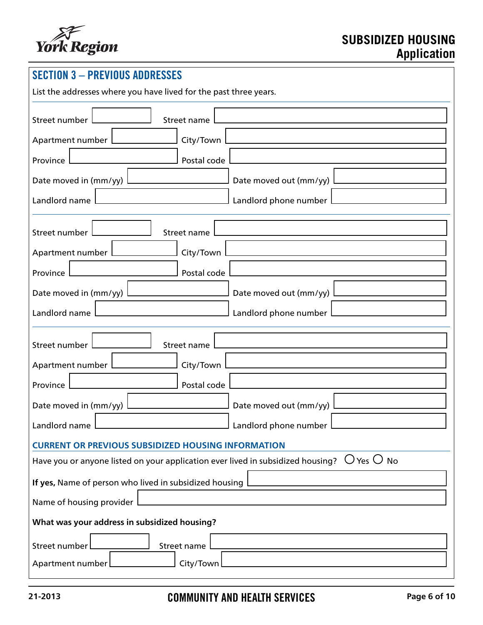

| <b>SECTION 3 - PREVIOUS ADDRESSES</b>                                                                         |                                 |  |  |
|---------------------------------------------------------------------------------------------------------------|---------------------------------|--|--|
| List the addresses where you have lived for the past three years.                                             |                                 |  |  |
| Street number<br>Street name                                                                                  |                                 |  |  |
| Apartment number                                                                                              | City/Town                       |  |  |
| Province                                                                                                      | Postal code                     |  |  |
| Date moved in (mm/yy)                                                                                         | Date moved out (mm/yy)          |  |  |
| Landlord name                                                                                                 | Landlord phone number           |  |  |
| Street number<br>Street name                                                                                  |                                 |  |  |
| Apartment number                                                                                              | City/Town                       |  |  |
| Province                                                                                                      | Postal code                     |  |  |
| Date moved in (mm/yy)                                                                                         | Date moved out (mm/yy)          |  |  |
| Landlord name                                                                                                 | Landlord phone number           |  |  |
| Street number<br>Street name                                                                                  |                                 |  |  |
| Apartment number                                                                                              | City/Town                       |  |  |
| Province                                                                                                      | Postal code                     |  |  |
| Date moved in (mm/yy)                                                                                         | Date moved out (mm/yy)          |  |  |
| Landlord name                                                                                                 | $\rfloor$ Landlord phone number |  |  |
| <b>CURRENT OR PREVIOUS SUBSIDIZED HOUSING INFORMATION</b>                                                     |                                 |  |  |
| Have you or anyone listed on your application ever lived in subsidized housing? $\;\bigcup$ Yes $\bigcirc$ No |                                 |  |  |
| If yes, Name of person who lived in subsidized housing                                                        |                                 |  |  |
| Name of housing provider                                                                                      |                                 |  |  |
| What was your address in subsidized housing?                                                                  |                                 |  |  |
| Street number<br>Street name                                                                                  |                                 |  |  |
| City/Town<br>Apartment number                                                                                 |                                 |  |  |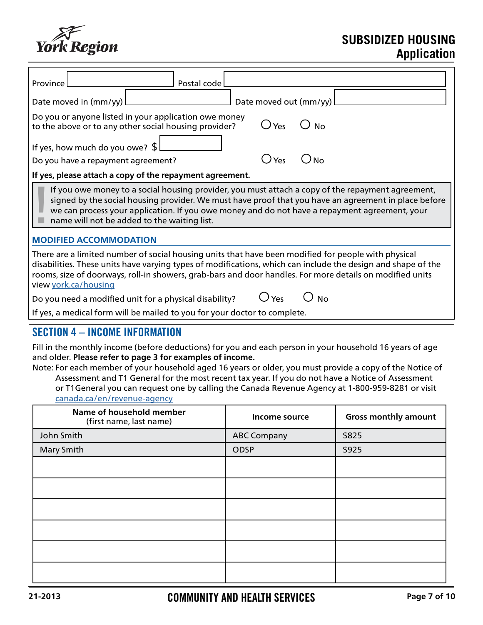

# **SUBSIDIZED HOUSING Application**

| Postal code<br>Province                                                                                                                                                                                                                                                                                                                                                                                                                                                                                                                                            |                                 |                             |  |
|--------------------------------------------------------------------------------------------------------------------------------------------------------------------------------------------------------------------------------------------------------------------------------------------------------------------------------------------------------------------------------------------------------------------------------------------------------------------------------------------------------------------------------------------------------------------|---------------------------------|-----------------------------|--|
| Date moved in (mm/yy)                                                                                                                                                                                                                                                                                                                                                                                                                                                                                                                                              | Date moved out (mm/yy)          |                             |  |
| Do you or anyone listed in your application owe money<br>$\bigcirc$ Yes<br>$\bigcirc$ No<br>to the above or to any other social housing provider?                                                                                                                                                                                                                                                                                                                                                                                                                  |                                 |                             |  |
| If yes, how much do you owe? $\frac{1}{2}$                                                                                                                                                                                                                                                                                                                                                                                                                                                                                                                         |                                 |                             |  |
| Do you have a repayment agreement?                                                                                                                                                                                                                                                                                                                                                                                                                                                                                                                                 | $\bigcirc$ Yes<br>$\bigcirc$ No |                             |  |
| If yes, please attach a copy of the repayment agreement.                                                                                                                                                                                                                                                                                                                                                                                                                                                                                                           |                                 |                             |  |
| If you owe money to a social housing provider, you must attach a copy of the repayment agreement,<br>signed by the social housing provider. We must have proof that you have an agreement in place before<br>we can process your application. If you owe money and do not have a repayment agreement, your<br>name will not be added to the waiting list.                                                                                                                                                                                                          |                                 |                             |  |
| <b>MODIFIED ACCOMMODATION</b>                                                                                                                                                                                                                                                                                                                                                                                                                                                                                                                                      |                                 |                             |  |
| There are a limited number of social housing units that have been modified for people with physical<br>disabilities. These units have varying types of modifications, which can include the design and shape of the<br>rooms, size of doorways, roll-in showers, grab-bars and door handles. For more details on modified units<br>view york.ca/housing                                                                                                                                                                                                            |                                 |                             |  |
| Do you need a modified unit for a physical disability?                                                                                                                                                                                                                                                                                                                                                                                                                                                                                                             | $\cup$ No<br>$\bigcup$ Yes      |                             |  |
| If yes, a medical form will be mailed to you for your doctor to complete.                                                                                                                                                                                                                                                                                                                                                                                                                                                                                          |                                 |                             |  |
| <b>SECTION 4 - INCOME INFORMATION</b><br>Fill in the monthly income (before deductions) for you and each person in your household 16 years of age<br>and older. Please refer to page 3 for examples of income.<br>Note: For each member of your household aged 16 years or older, you must provide a copy of the Notice of<br>Assessment and T1 General for the most recent tax year. If you do not have a Notice of Assessment<br>or T1General you can request one by calling the Canada Revenue Agency at 1-800-959-8281 or visit<br>canada.ca/en/revenue-agency |                                 |                             |  |
| Name of household member<br>(first name, last name)                                                                                                                                                                                                                                                                                                                                                                                                                                                                                                                | Income source                   | <b>Gross monthly amount</b> |  |
| John Smith                                                                                                                                                                                                                                                                                                                                                                                                                                                                                                                                                         | <b>ABC Company</b>              | \$825                       |  |
| Mary Smith                                                                                                                                                                                                                                                                                                                                                                                                                                                                                                                                                         | <b>ODSP</b>                     | \$925                       |  |
|                                                                                                                                                                                                                                                                                                                                                                                                                                                                                                                                                                    |                                 |                             |  |
|                                                                                                                                                                                                                                                                                                                                                                                                                                                                                                                                                                    |                                 |                             |  |
|                                                                                                                                                                                                                                                                                                                                                                                                                                                                                                                                                                    |                                 |                             |  |
|                                                                                                                                                                                                                                                                                                                                                                                                                                                                                                                                                                    |                                 |                             |  |
|                                                                                                                                                                                                                                                                                                                                                                                                                                                                                                                                                                    |                                 |                             |  |
|                                                                                                                                                                                                                                                                                                                                                                                                                                                                                                                                                                    |                                 |                             |  |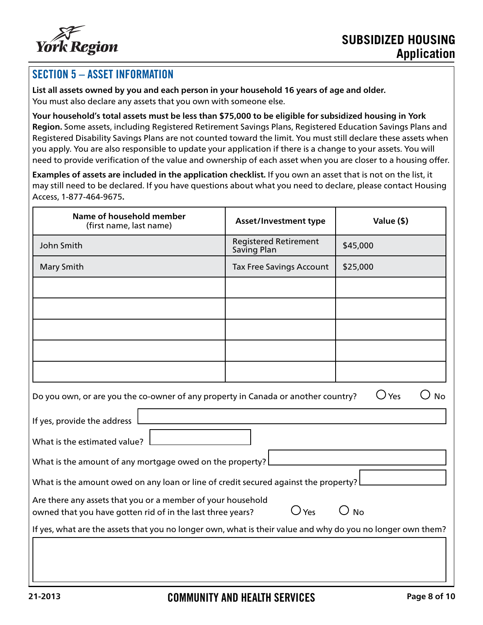

## SECTION 5 – ASSET INFORMATION

**List all assets owned by you and each person in your household 16 years of age and older.** You must also declare any assets that you own with someone else.

**Your household's total assets must be less than \$75,000 to be eligible for subsidized housing in York Region.** Some assets, including Registered Retirement Savings Plans, Registered Education Savings Plans and Registered Disability Savings Plans are not counted toward the limit. You must still declare these assets when you apply. You are also responsible to update your application if there is a change to your assets. You will need to provide verification of the value and ownership of each asset when you are closer to a housing offer.

**Examples of assets are included in the application checklist.** If you own an asset that is not on the list, it may still need to be declared. If you have questions about what you need to declare, please contact Housing Access, 1-877-464-9675**.**

| Name of household member<br>(first name, last name)                                                                                               | <b>Asset/Investment type</b>                | Value (\$) |  |
|---------------------------------------------------------------------------------------------------------------------------------------------------|---------------------------------------------|------------|--|
| John Smith                                                                                                                                        | <b>Registered Retirement</b><br>Saving Plan | \$45,000   |  |
| Mary Smith                                                                                                                                        | <b>Tax Free Savings Account</b>             | \$25,000   |  |
|                                                                                                                                                   |                                             |            |  |
|                                                                                                                                                   |                                             |            |  |
|                                                                                                                                                   |                                             |            |  |
|                                                                                                                                                   |                                             |            |  |
|                                                                                                                                                   |                                             |            |  |
| $\bigcirc$ Yes<br><b>No</b><br>Do you own, or are you the co-owner of any property in Canada or another country?                                  |                                             |            |  |
| If yes, provide the address                                                                                                                       |                                             |            |  |
| What is the estimated value?                                                                                                                      |                                             |            |  |
| What is the amount of any mortgage owed on the property?                                                                                          |                                             |            |  |
| What is the amount owed on any loan or line of credit secured against the property?                                                               |                                             |            |  |
| Are there any assets that you or a member of your household<br>$O$ Yes<br><b>No</b><br>owned that you have gotten rid of in the last three years? |                                             |            |  |
| If yes, what are the assets that you no longer own, what is their value and why do you no longer own them?                                        |                                             |            |  |
|                                                                                                                                                   |                                             |            |  |
|                                                                                                                                                   |                                             |            |  |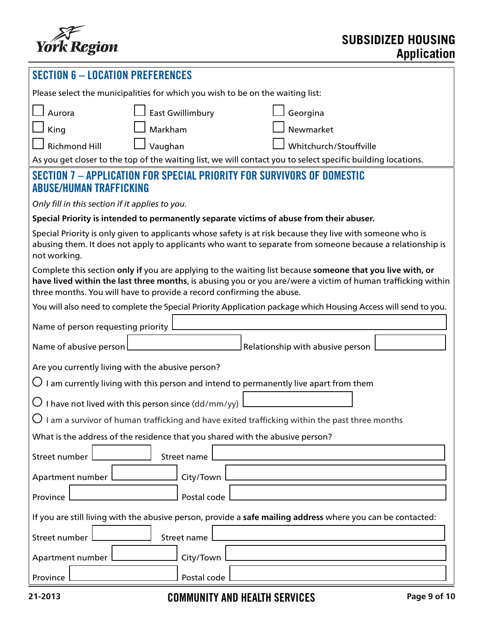

| <b>SECTION 6 - LOCATION PREFERENCES</b>                                                                                                                                                                                                                                                            |  |  |  |
|----------------------------------------------------------------------------------------------------------------------------------------------------------------------------------------------------------------------------------------------------------------------------------------------------|--|--|--|
| Please select the municipalities for which you wish to be on the waiting list:                                                                                                                                                                                                                     |  |  |  |
| <b>East Gwillimbury</b><br>Aurora<br>Georgina                                                                                                                                                                                                                                                      |  |  |  |
| Markham<br>Newmarket<br>King                                                                                                                                                                                                                                                                       |  |  |  |
| Vaughan<br><b>Richmond Hill</b><br>Whitchurch/Stouffville                                                                                                                                                                                                                                          |  |  |  |
| As you get closer to the top of the waiting list, we will contact you to select specific building locations.                                                                                                                                                                                       |  |  |  |
| SECTION 7 - APPLICATION FOR SPECIAL PRIORITY FOR SURVIVORS OF DOMESTIC<br><b>ABUSE/HUMAN TRAFFICKING</b>                                                                                                                                                                                           |  |  |  |
| Only fill in this section if it applies to you.                                                                                                                                                                                                                                                    |  |  |  |
| Special Priority is intended to permanently separate victims of abuse from their abuser.                                                                                                                                                                                                           |  |  |  |
| Special Priority is only given to applicants whose safety is at risk because they live with someone who is<br>abusing them. It does not apply to applicants who want to separate from someone because a relationship is<br>not working.                                                            |  |  |  |
| Complete this section only if you are applying to the waiting list because someone that you live with, or<br>have lived within the last three months, is abusing you or you are/were a victim of human trafficking within<br>three months. You will have to provide a record confirming the abuse. |  |  |  |
| You will also need to complete the Special Priority Application package which Housing Access will send to you.                                                                                                                                                                                     |  |  |  |
| Name of person requesting priority                                                                                                                                                                                                                                                                 |  |  |  |
| Relationship with abusive person<br>Name of abusive person                                                                                                                                                                                                                                         |  |  |  |
| Are you currently living with the abusive person?                                                                                                                                                                                                                                                  |  |  |  |
| $\bigcirc$ I am currently living with this person and intend to permanently live apart from them                                                                                                                                                                                                   |  |  |  |
| $\bigcup$ I have not lived with this person since (dd/mm/yy)                                                                                                                                                                                                                                       |  |  |  |
| $\bigcup$ I am a survivor of human trafficking and have exited trafficking within the past three months                                                                                                                                                                                            |  |  |  |
| What is the address of the residence that you shared with the abusive person?                                                                                                                                                                                                                      |  |  |  |
| Street number<br>Street name                                                                                                                                                                                                                                                                       |  |  |  |
| City/Town<br>Apartment number                                                                                                                                                                                                                                                                      |  |  |  |
| Postal code<br>Province                                                                                                                                                                                                                                                                            |  |  |  |
| If you are still living with the abusive person, provide a safe mailing address where you can be contacted:                                                                                                                                                                                        |  |  |  |
| Street number<br>Street name                                                                                                                                                                                                                                                                       |  |  |  |
| City/Town<br>Apartment number [                                                                                                                                                                                                                                                                    |  |  |  |
| Postal code<br>Province                                                                                                                                                                                                                                                                            |  |  |  |